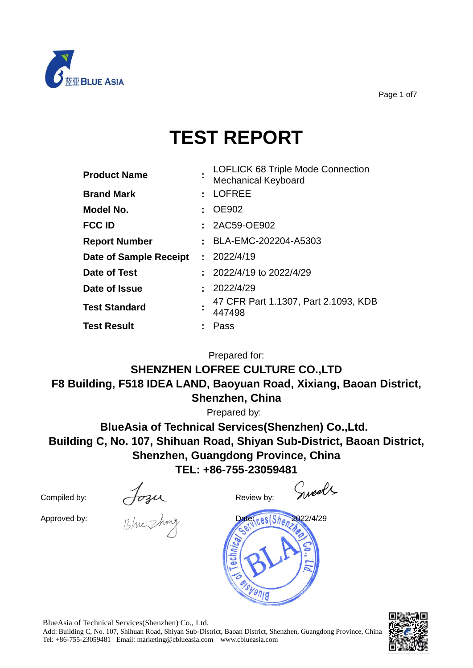

Page 1 of7

# **TEST REPORT**

| <b>Product Name</b>           | LOFLICK 68 Triple Mode Connection<br><b>Mechanical Keyboard</b> |
|-------------------------------|-----------------------------------------------------------------|
| <b>Brand Mark</b>             | : LOFREE                                                        |
| Model No.                     | $\therefore$ OE902                                              |
| <b>FCC ID</b>                 | : 2AC59-OE902                                                   |
| <b>Report Number</b>          | : BLA-EMC-202204-A5303                                          |
| <b>Date of Sample Receipt</b> | : 2022/4/19                                                     |
| Date of Test                  | $: 2022/4/19$ to 2022/4/29                                      |
| Date of Issue                 | : 2022/4/29                                                     |
| <b>Test Standard</b>          | 47 CFR Part 1.1307, Part 2.1093, KDB<br>447498                  |
| <b>Test Result</b>            | Pass                                                            |

Prepared for:

**SHENZHEN LOFREE CULTURE CO.,LTD F8 Building, F518 IDEA LAND, Baoyuan Road, Xixiang, Baoan District, Shenzhen, China**

Prepared by:

**BlueAsia of Technical Services(Shenzhen) Co.,Ltd. Building C, No. 107, Shihuan Road, Shiyan Sub-District, Baoan District, Shenzhen, Guangdong Province, China TEL: +86-755-23059481**

Compiled by:  $\sqrt{C_3}$ 

Sweets



BlueAsia of Technical Services(Shenzhen) Co., Ltd.

Add: Building C, No. 107, Shihuan Road, Shiyan Sub-District, Baoan District, Shenzhen, Guangdong Province, China Tel: +86-755-23059481 Email: marketing@cblueasia.com www.cblueasia.com

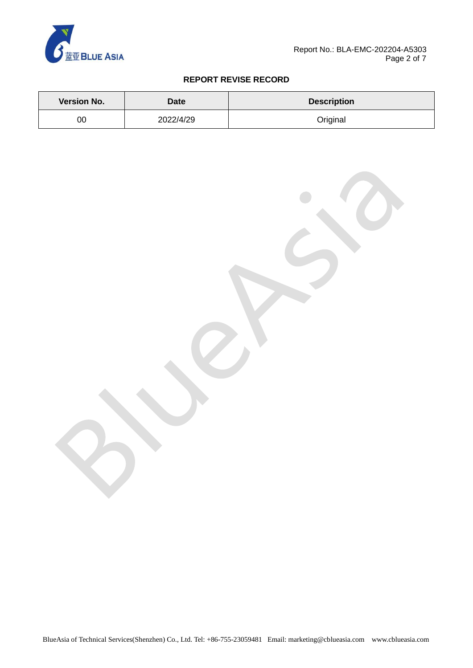

### **REPORT REVISE RECORD**

| <b>Version No.</b> | Date      | <b>Description</b> |  |  |
|--------------------|-----------|--------------------|--|--|
| 00                 | 2022/4/29 | Original           |  |  |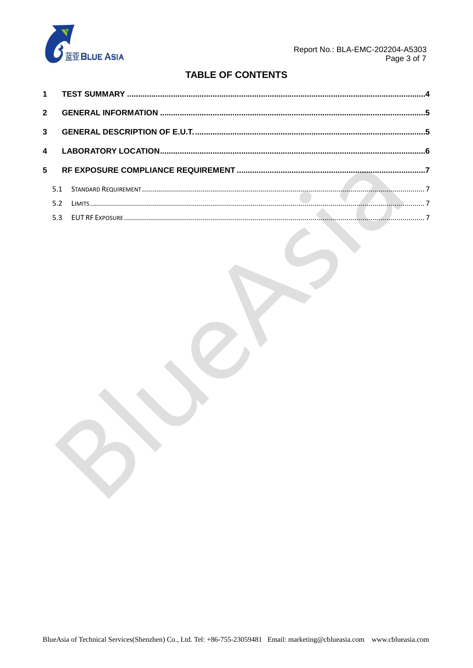

# **TABLE OF CONTENTS**

| $2^{\circ}$  |     |  |  |
|--------------|-----|--|--|
|              |     |  |  |
| $\mathbf{A}$ |     |  |  |
| 5            |     |  |  |
|              | 5.1 |  |  |
|              | 5.2 |  |  |
|              |     |  |  |

 $\left\langle \cdot \right\rangle$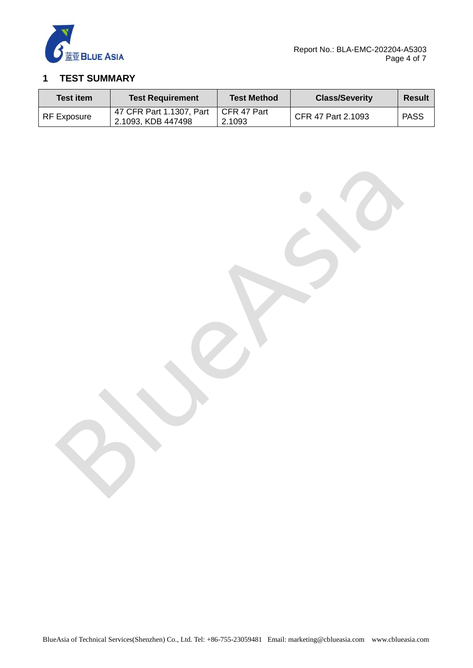

# <span id="page-3-0"></span>**1 TEST SUMMARY**

| <b>Test item</b>   | <b>Test Requirement</b>                                      | <b>Test Method</b> | <b>Class/Severity</b> | Result      |
|--------------------|--------------------------------------------------------------|--------------------|-----------------------|-------------|
| <b>RF Exposure</b> | 47 CFR Part 1.1307, Part   CFR 47 Part<br>2.1093, KDB 447498 | 2.1093             | CFR 47 Part 2.1093    | <b>PASS</b> |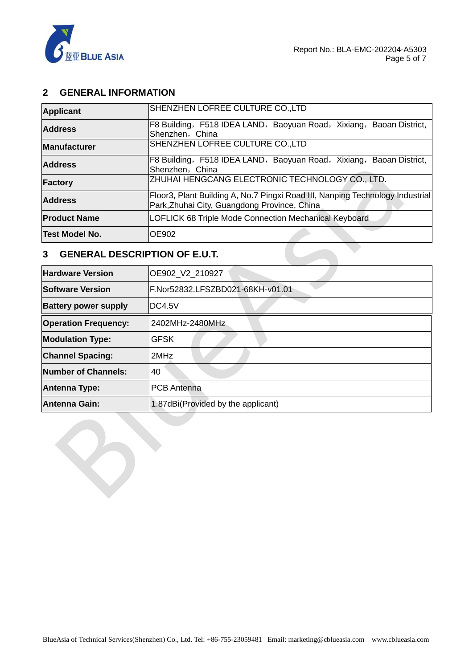

## <span id="page-4-0"></span>**2 GENERAL INFORMATION**

| <b>Product Name</b><br>Test Model No. | LOFLICK 68 Triple Mode Connection Mechanical Keyboard<br><b>IOE902</b>                                                        |  |  |
|---------------------------------------|-------------------------------------------------------------------------------------------------------------------------------|--|--|
| <b>Address</b>                        | Floor3, Plant Building A, No.7 Pingxi Road III, Nanping Technology Industrial<br>Park, Zhuhai City, Guangdong Province, China |  |  |
| Factory                               | ZHUHAI HENGCANG ELECTRONIC TECHNOLOGY CO., LTD.                                                                               |  |  |
| <b>Address</b>                        | F8 Building, F518 IDEA LAND, Baoyuan Road, Xixiang, Baoan District,<br>Shenzhen, China                                        |  |  |
| <b>Manufacturer</b>                   | SHENZHEN LOFREE CULTURE CO.,LTD                                                                                               |  |  |
| <b>Address</b>                        | F8 Building, F518 IDEA LAND, Baoyuan Road, Xixiang, Baoan District,<br>Shenzhen, China                                        |  |  |
| <b>Applicant</b>                      | SHENZHEN LOFREE CULTURE CO.,LTD                                                                                               |  |  |

## <span id="page-4-1"></span>**3 GENERAL DESCRIPTION OF E.U.T.**

| <b>Hardware Version</b>     | OE902_V2_210927                    |
|-----------------------------|------------------------------------|
| <b>Software Version</b>     | F.Nor52832.LFSZBD021-68KH-v01.01   |
| <b>Battery power supply</b> | IDC4.5V                            |
| <b>Operation Frequency:</b> | 2402MHz-2480MHz                    |
| <b>Modulation Type:</b>     | <b>GFSK</b>                        |
| <b>Channel Spacing:</b>     | l2MHz                              |
| Number of Channels:         | 40                                 |
| <b>Antenna Type:</b>        | <b>PCB</b> Antenna                 |
| <b>Antenna Gain:</b>        | 1.87dBi(Provided by the applicant) |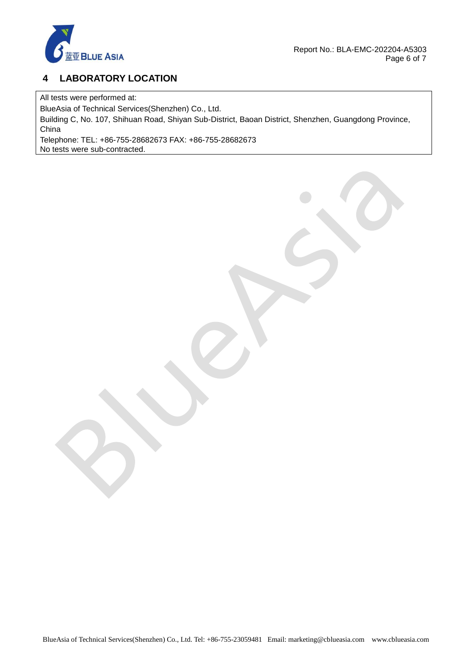

# <span id="page-5-0"></span>**4 LABORATORY LOCATION**

All tests were performed at:

BlueAsia of Technical Services(Shenzhen) Co., Ltd.

Building C, No. 107, Shihuan Road, Shiyan Sub-District, Baoan District, Shenzhen, Guangdong Province, China

Telephone: TEL: +86-755-28682673 FAX: +86-755-28682673 No tests were sub-contracted.